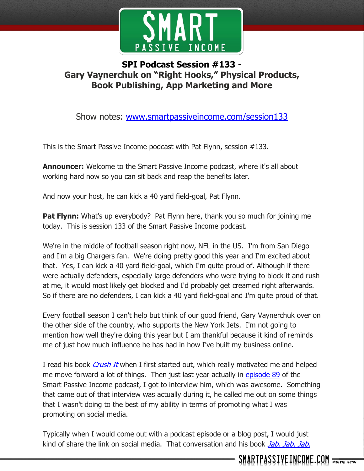

## **SPI Podcast Session #133 - Gary Vaynerchuk on "Right Hooks," Physical Products, Book Publishing, App Marketing and More**

Show notes: [www.smartpassiveincome.com/session133](http://www.smartpassiveincome.com/session133)

This is the Smart Passive Income podcast with Pat Flynn, session #133.

**Announcer:** Welcome to the Smart Passive Income podcast, where it's all about working hard now so you can sit back and reap the benefits later.

And now your host, he can kick a 40 yard field-goal, Pat Flynn.

**Pat Flynn:** What's up everybody? Pat Flynn here, thank you so much for joining me today. This is session 133 of the Smart Passive Income podcast.

We're in the middle of football season right now, NFL in the US. I'm from San Diego and I'm a big Chargers fan. We're doing pretty good this year and I'm excited about that. Yes, I can kick a 40 yard field-goal, which I'm quite proud of. Although if there were actually defenders, especially large defenders who were trying to block it and rush at me, it would most likely get blocked and I'd probably get creamed right afterwards. So if there are no defenders, I can kick a 40 yard field-goal and I'm quite proud of that.

Every football season I can't help but think of our good friend, Gary Vaynerchuk over on the other side of the country, who supports the New York Jets. I'm not going to mention how well they're doing this year but I am thankful because it kind of reminds me of just how much influence he has had in how I've built my business online.

I read his book *[Crush It](http://www.smartpassiveincome.com/crushit)* when I first started out, which really motivated me and helped me move forward a lot of things. Then just last year actually in [episode 89](http://www.smartpassiveincome.com/session89) of the Smart Passive Income podcast, I got to interview him, which was awesome. Something that came out of that interview was actually during it, he called me out on some things that I wasn't doing to the best of my ability in terms of promoting what I was promoting on social media.

Typically when I would come out with a podcast episode or a blog post, I would just kind of share the link on social media. That conversation and his book *[Jab,](http://www.smartpassiveincome.com/jjjrh) Jab, Jab,*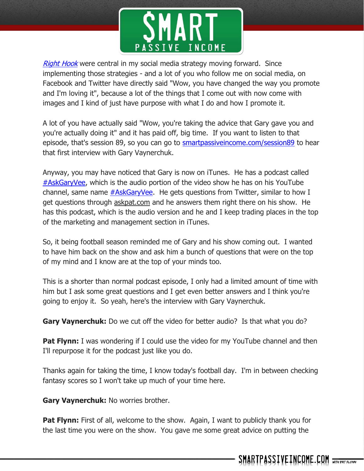

[Right Hook](http://www.smartpassiveincome.com/jjjrh) were central in my social media strategy moving forward. Since implementing those strategies - and a lot of you who follow me on social media, on Facebook and Twitter have directly said "Wow, you have changed the way you promote and I'm loving it", because a lot of the things that I come out with now come with images and I kind of just have purpose with what I do and how I promote it.

A lot of you have actually said "Wow, you're taking the advice that Gary gave you and you're actually doing it" and it has paid off, big time. If you want to listen to that episode, that's session 89, so you can go to **smartpassiveincome.com/session89** to hear that first interview with Gary Vaynerchuk.

Anyway, you may have noticed that Gary is now on iTunes. He has a podcast called **[#AskGaryVee,](https://itunes.apple.com/us/podcast/the-askgaryvee-show/id928159684?mt=2)** which is the audio portion of the video show he has on his YouTube channel, same name  $#AskGaryVec$ . He gets questions from Twitter, similar to how I get questions through [askpat.com](http://askpat.com/) and he answers them right there on his show. He has this podcast, which is the audio version and he and I keep trading places in the top of the marketing and management section in iTunes.

So, it being football season reminded me of Gary and his show coming out. I wanted to have him back on the show and ask him a bunch of questions that were on the top of my mind and I know are at the top of your minds too.

This is a shorter than normal podcast episode, I only had a limited amount of time with him but I ask some great questions and I get even better answers and I think you're going to enjoy it. So yeah, here's the interview with Gary Vaynerchuk.

**Gary Vaynerchuk:** Do we cut off the video for better audio? Is that what you do?

**Pat Flynn:** I was wondering if I could use the video for my YouTube channel and then I'll repurpose it for the podcast just like you do.

Thanks again for taking the time, I know today's football day. I'm in between checking fantasy scores so I won't take up much of your time here.

**Gary Vaynerchuk:** No worries brother.

**Pat Flynn:** First of all, welcome to the show. Again, I want to publicly thank you for the last time you were on the show. You gave me some great advice on putting the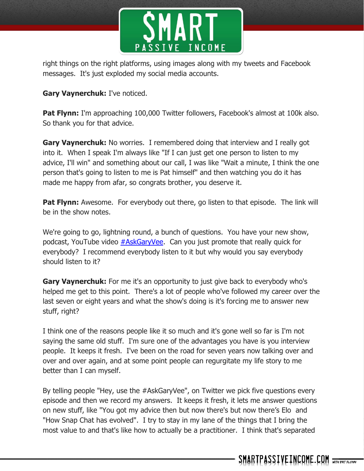

right things on the right platforms, using images along with my tweets and Facebook messages. It's just exploded my social media accounts.

**Gary Vaynerchuk:** I've noticed.

**Pat Flynn:** I'm approaching 100,000 Twitter followers, Facebook's almost at 100k also. So thank you for that advice.

**Gary Vaynerchuk:** No worries. I remembered doing that interview and I really got into it. When I speak I'm always like "If I can just get one person to listen to my advice, I'll win" and something about our call, I was like "Wait a minute, I think the one person that's going to listen to me is Pat himself" and then watching you do it has made me happy from afar, so congrats brother, you deserve it.

**Pat Flynn:** Awesome. For everybody out there, go listen to that episode. The link will be in the show notes.

We're going to go, lightning round, a bunch of questions. You have your new show, podcast, YouTube video [#AskGaryVee.](https://www.youtube.com/playlist?list=PLfA33-E9P7FC0AoARnMLvgFgESJe4_Ngs) Can you just promote that really quick for everybody? I recommend everybody listen to it but why would you say everybody should listen to it?

**Gary Vaynerchuk:** For me it's an opportunity to just give back to everybody who's helped me get to this point. There's a lot of people who've followed my career over the last seven or eight years and what the show's doing is it's forcing me to answer new stuff, right?

I think one of the reasons people like it so much and it's gone well so far is I'm not saying the same old stuff. I'm sure one of the advantages you have is you interview people. It keeps it fresh. I've been on the road for seven years now talking over and over and over again, and at some point people can regurgitate my life story to me better than I can myself.

By telling people "Hey, use the #AskGaryVee", on Twitter we pick five questions every episode and then we record my answers. It keeps it fresh, it lets me answer questions on new stuff, like "You got my advice then but now there's but now there's Elo and "How Snap Chat has evolved". I try to stay in my lane of the things that I bring the most value to and that's like how to actually be a practitioner. I think that's separated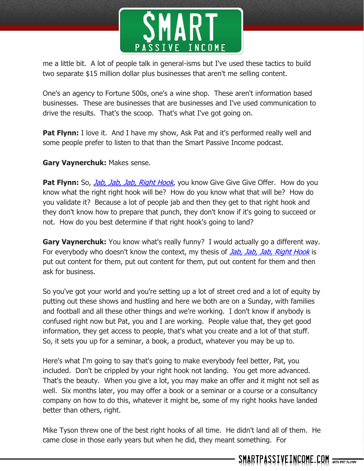

me a little bit. A lot of people talk in general-isms but I've used these tactics to build two separate \$15 million dollar plus businesses that aren't me selling content.

One's an agency to Fortune 500s, one's a wine shop. These aren't information based businesses. These are businesses that are businesses and I've used communication to drive the results. That's the scoop. That's what I've got going on.

**Pat Flynn:** I love it. And I have my show, Ask Pat and it's performed really well and some people prefer to listen to that than the Smart Passive Income podcast.

## **Gary Vaynerchuk:** Makes sense.

**Pat Flynn:** So, *Jab, Jab, Jab, [Right Hook](http://www.smartpassiveincome.com/jjjrh)*, you know Give Give Give Offer. How do you know what the right right hook will be? How do you know what that will be? How do you validate it? Because a lot of people jab and then they get to that right hook and they don't know how to prepare that punch, they don't know if it's going to succeed or not. How do you best determine if that right hook's going to land?

**Gary Vaynerchuk:** You know what's really funny? I would actually go a different way. For everybody who doesn't know the context, my thesis of *Jab, Jab, Jab, [Right Hook](http://www.smartpassiveincome.com/jjjrh)* is put out content for them, put out content for them, put out content for them and then ask for business.

So you've got your world and you're setting up a lot of street cred and a lot of equity by putting out these shows and hustling and here we both are on a Sunday, with families and football and all these other things and we're working. I don't know if anybody is confused right now but Pat, you and I are working. People value that, they get good information, they get access to people, that's what you create and a lot of that stuff. So, it sets you up for a seminar, a book, a product, whatever you may be up to.

Here's what I'm going to say that's going to make everybody feel better, Pat, you included. Don't be crippled by your right hook not landing. You get more advanced. That's the beauty. When you give a lot, you may make an offer and it might not sell as well. Six months later, you may offer a book or a seminar or a course or a consultancy company on how to do this, whatever it might be, some of my right hooks have landed better than others, right.

Mike Tyson threw one of the best right hooks of all time. He didn't land all of them. He came close in those early years but when he did, they meant something. For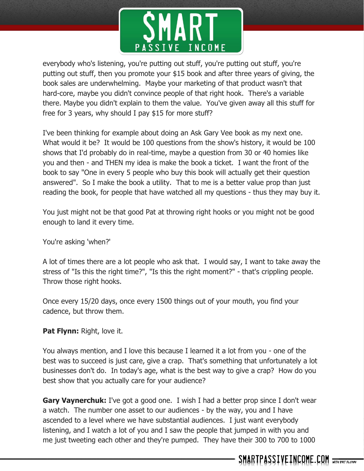

everybody who's listening, you're putting out stuff, you're putting out stuff, you're putting out stuff, then you promote your \$15 book and after three years of giving, the book sales are underwhelming. Maybe your marketing of that product wasn't that hard-core, maybe you didn't convince people of that right hook. There's a variable there. Maybe you didn't explain to them the value. You've given away all this stuff for free for 3 years, why should I pay \$15 for more stuff?

I've been thinking for example about doing an Ask Gary Vee book as my next one. What would it be? It would be 100 questions from the show's history, it would be 100 shows that I'd probably do in real-time, maybe a question from 30 or 40 homies like you and then - and THEN my idea is make the book a ticket. I want the front of the book to say "One in every 5 people who buy this book will actually get their question answered". So I make the book a utility. That to me is a better value prop than just reading the book, for people that have watched all my questions - thus they may buy it.

You just might not be that good Pat at throwing right hooks or you might not be good enough to land it every time.

You're asking 'when?'

A lot of times there are a lot people who ask that. I would say, I want to take away the stress of "Is this the right time?", "Is this the right moment?" - that's crippling people. Throw those right hooks.

Once every 15/20 days, once every 1500 things out of your mouth, you find your cadence, but throw them.

## **Pat Flynn:** Right, love it.

You always mention, and I love this because I learned it a lot from you - one of the best was to succeed is just care, give a crap. That's something that unfortunately a lot businesses don't do. In today's age, what is the best way to give a crap? How do you best show that you actually care for your audience?

**Gary Vaynerchuk:** I've got a good one. I wish I had a better prop since I don't wear a watch. The number one asset to our audiences - by the way, you and I have ascended to a level where we have substantial audiences. I just want everybody listening, and I watch a lot of you and I saw the people that jumped in with you and me just tweeting each other and they're pumped. They have their 300 to 700 to 1000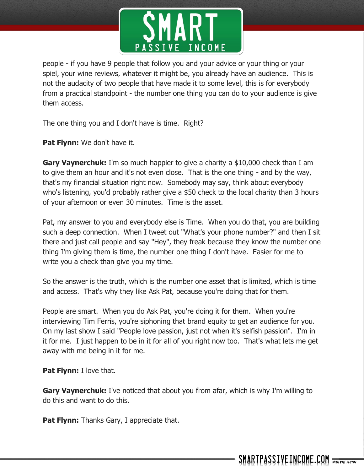

people - if you have 9 people that follow you and your advice or your thing or your spiel, your wine reviews, whatever it might be, you already have an audience. This is not the audacity of two people that have made it to some level, this is for everybody from a practical standpoint - the number one thing you can do to your audience is give them access.

The one thing you and I don't have is time. Right?

**Pat Flynn:** We don't have it.

**Gary Vaynerchuk:** I'm so much happier to give a charity a \$10,000 check than I am to give them an hour and it's not even close. That is the one thing - and by the way, that's my financial situation right now. Somebody may say, think about everybody who's listening, you'd probably rather give a \$50 check to the local charity than 3 hours of your afternoon or even 30 minutes. Time is the asset.

Pat, my answer to you and everybody else is Time. When you do that, you are building such a deep connection. When I tweet out "What's your phone number?" and then I sit there and just call people and say "Hey", they freak because they know the number one thing I'm giving them is time, the number one thing I don't have. Easier for me to write you a check than give you my time.

So the answer is the truth, which is the number one asset that is limited, which is time and access. That's why they like Ask Pat, because you're doing that for them.

People are smart. When you do Ask Pat, you're doing it for them. When you're interviewing Tim Ferris, you're siphoning that brand equity to get an audience for you. On my last show I said "People love passion, just not when it's selfish passion". I'm in it for me. I just happen to be in it for all of you right now too. That's what lets me get away with me being in it for me.

**Pat Flynn:** I love that.

**Gary Vaynerchuk:** I've noticed that about you from afar, which is why I'm willing to do this and want to do this.

**Pat Flynn:** Thanks Gary, I appreciate that.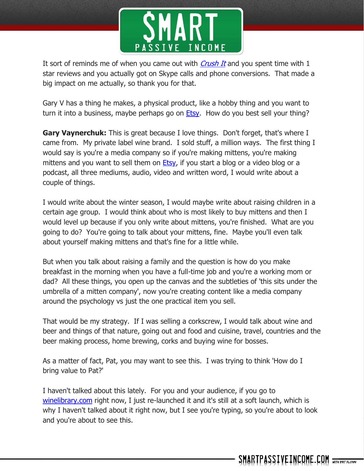

It sort of reminds me of when you came out with *[Crush It](http://www.smartpassiveincome.com/crushit)* and you spent time with 1 star reviews and you actually got on Skype calls and phone conversions. That made a big impact on me actually, so thank you for that.

Gary V has a thing he makes, a physical product, like a hobby thing and you want to turn it into a business, maybe perhaps go on  $E$ tsy. How do you best sell your thing?

**Gary Vaynerchuk:** This is great because I love things. Don't forget, that's where I came from. My private label wine brand. I sold stuff, a million ways. The first thing I would say is you're a media company so if you're making mittens, you're making mittens and you want to sell them on  $E$ tsy, if you start a blog or a video blog or a podcast, all three mediums, audio, video and written word, I would write about a couple of things.

I would write about the winter season, I would maybe write about raising children in a certain age group. I would think about who is most likely to buy mittens and then I would level up because if you only write about mittens, you're finished. What are you going to do? You're going to talk about your mittens, fine. Maybe you'll even talk about yourself making mittens and that's fine for a little while.

But when you talk about raising a family and the question is how do you make breakfast in the morning when you have a full-time job and you're a working mom or dad? All these things, you open up the canvas and the subtleties of 'this sits under the umbrella of a mitten company', now you're creating content like a media company around the psychology vs just the one practical item you sell.

That would be my strategy. If I was selling a corkscrew, I would talk about wine and beer and things of that nature, going out and food and cuisine, travel, countries and the beer making process, home brewing, corks and buying wine for bosses.

As a matter of fact, Pat, you may want to see this. I was trying to think 'How do I bring value to Pat?'

I haven't talked about this lately. For you and your audience, if you go to [winelibrary.com](https://winelibrary.com/) right now, I just re-launched it and it's still at a soft launch, which is why I haven't talked about it right now, but I see you're typing, so you're about to look and you're about to see this.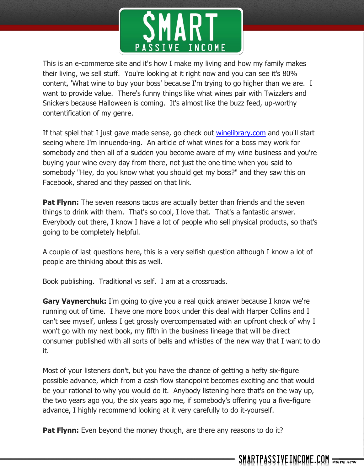

This is an e-commerce site and it's how I make my living and how my family makes their living, we sell stuff. You're looking at it right now and you can see it's 80% content, 'What wine to buy your boss' because I'm trying to go higher than we are. I want to provide value. There's funny things like what wines pair with Twizzlers and Snickers because Halloween is coming. It's almost like the buzz feed, up-worthy contentification of my genre.

If that spiel that I just gave made sense, go check out [winelibrary.com](https://winelibrary.com/) and you'll start seeing where I'm innuendo-ing. An article of what wines for a boss may work for somebody and then all of a sudden you become aware of my wine business and you're buying your wine every day from there, not just the one time when you said to somebody "Hey, do you know what you should get my boss?" and they saw this on Facebook, shared and they passed on that link.

**Pat Flynn:** The seven reasons tacos are actually better than friends and the seven things to drink with them. That's so cool, I love that. That's a fantastic answer. Everybody out there, I know I have a lot of people who sell physical products, so that's going to be completely helpful.

A couple of last questions here, this is a very selfish question although I know a lot of people are thinking about this as well.

Book publishing. Traditional vs self. I am at a crossroads.

**Gary Vaynerchuk:** I'm going to give you a real quick answer because I know we're running out of time. I have one more book under this deal with Harper Collins and I can't see myself, unless I get grossly overcompensated with an upfront check of why I won't go with my next book, my fifth in the business lineage that will be direct consumer published with all sorts of bells and whistles of the new way that I want to do it.

Most of your listeners don't, but you have the chance of getting a hefty six-figure possible advance, which from a cash flow standpoint becomes exciting and that would be your rational to why you would do it. Anybody listening here that's on the way up, the two years ago you, the six years ago me, if somebody's offering you a five-figure advance, I highly recommend looking at it very carefully to do it-yourself.

**Pat Flynn:** Even beyond the money though, are there any reasons to do it?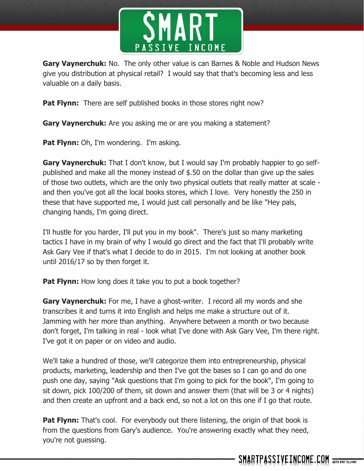

**Gary Vaynerchuk:** No. The only other value is can Barnes & Noble and Hudson News give you distribution at physical retail? I would say that that's becoming less and less valuable on a daily basis.

**Pat Flynn:** There are self published books in those stores right now?

**Gary Vaynerchuk:** Are you asking me or are you making a statement?

**Pat Flynn:** Oh, I'm wondering. I'm asking.

**Gary Vaynerchuk:** That I don't know, but I would say I'm probably happier to go selfpublished and make all the money instead of \$.50 on the dollar than give up the sales of those two outlets, which are the only two physical outlets that really matter at scale and then you've got all the local books stores, which I love. Very honestly the 250 in these that have supported me, I would just call personally and be like "Hey pals, changing hands, I'm going direct.

I'll hustle for you harder, I'll put you in my book". There's just so many marketing tactics I have in my brain of why I would go direct and the fact that I'll probably write Ask Gary Vee if that's what I decide to do in 2015. I'm not looking at another book until 2016/17 so by then forget it.

**Pat Flynn:** How long does it take you to put a book together?

**Gary Vaynerchuk:** For me, I have a ghost-writer. I record all my words and she transcribes it and turns it into English and helps me make a structure out of it. Jamming with her more than anything. Anywhere between a month or two because don't forget, I'm talking in real - look what I've done with Ask Gary Vee, I'm there right. I've got it on paper or on video and audio.

We'll take a hundred of those, we'll categorize them into entrepreneurship, physical products, marketing, leadership and then I've got the bases so I can go and do one push one day, saying "Ask questions that I'm going to pick for the book", I'm going to sit down, pick 100/200 of them, sit down and answer them (that will be 3 or 4 nights) and then create an upfront and a back end, so not a lot on this one if I go that route.

**Pat Flynn:** That's cool. For everybody out there listening, the origin of that book is from the questions from Gary's audience. You're answering exactly what they need, you're not guessing.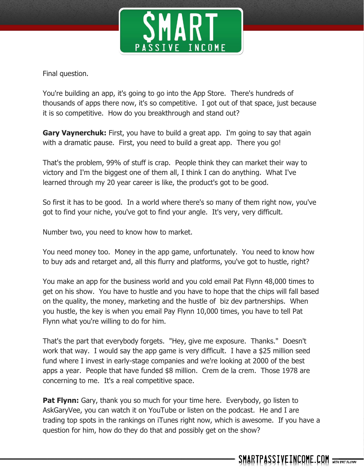

Final question.

You're building an app, it's going to go into the App Store. There's hundreds of thousands of apps there now, it's so competitive. I got out of that space, just because it is so competitive. How do you breakthrough and stand out?

**Gary Vaynerchuk:** First, you have to build a great app. I'm going to say that again with a dramatic pause. First, you need to build a great app. There you go!

That's the problem, 99% of stuff is crap. People think they can market their way to victory and I'm the biggest one of them all, I think I can do anything. What I've learned through my 20 year career is like, the product's got to be good.

So first it has to be good. In a world where there's so many of them right now, you've got to find your niche, you've got to find your angle. It's very, very difficult.

Number two, you need to know how to market.

You need money too. Money in the app game, unfortunately. You need to know how to buy ads and retarget and, all this flurry and platforms, you've got to hustle, right?

You make an app for the business world and you cold email Pat Flynn 48,000 times to get on his show. You have to hustle and you have to hope that the chips will fall based on the quality, the money, marketing and the hustle of biz dev partnerships. When you hustle, the key is when you email Pay Flynn 10,000 times, you have to tell Pat Flynn what you're willing to do for him.

That's the part that everybody forgets. "Hey, give me exposure. Thanks." Doesn't work that way. I would say the app game is very difficult. I have a \$25 million seed fund where I invest in early-stage companies and we're looking at 2000 of the best apps a year. People that have funded \$8 million. Crem de la crem. Those 1978 are concerning to me. It's a real competitive space.

**Pat Flynn:** Gary, thank you so much for your time here. Everybody, go listen to AskGaryVee, you can watch it on YouTube or listen on the podcast. He and I are trading top spots in the rankings on iTunes right now, which is awesome. If you have a question for him, how do they do that and possibly get on the show?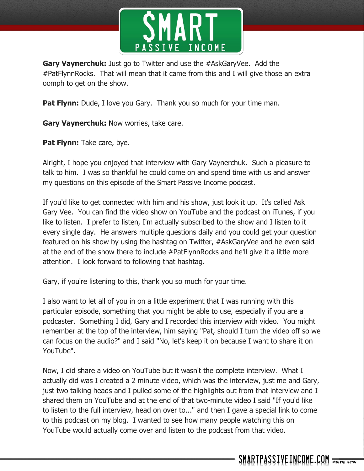

**Gary Vaynerchuk:** Just go to Twitter and use the #AskGaryVee. Add the #PatFlynnRocks. That will mean that it came from this and I will give those an extra oomph to get on the show.

**Pat Flynn:** Dude, I love you Gary. Thank you so much for your time man.

**Gary Vaynerchuk:** Now worries, take care.

**Pat Flynn:** Take care, bye.

Alright, I hope you enjoyed that interview with Gary Vaynerchuk. Such a pleasure to talk to him. I was so thankful he could come on and spend time with us and answer my questions on this episode of the Smart Passive Income podcast.

If you'd like to get connected with him and his show, just look it up. It's called Ask Gary Vee. You can find the video show on YouTube and the podcast on iTunes, if you like to listen. I prefer to listen, I'm actually subscribed to the show and I listen to it every single day. He answers multiple questions daily and you could get your question featured on his show by using the hashtag on Twitter, #AskGaryVee and he even said at the end of the show there to include #PatFlynnRocks and he'll give it a little more attention. I look forward to following that hashtag.

Gary, if you're listening to this, thank you so much for your time.

I also want to let all of you in on a little experiment that I was running with this particular episode, something that you might be able to use, especially if you are a podcaster. Something I did, Gary and I recorded this interview with video. You might remember at the top of the interview, him saying "Pat, should I turn the video off so we can focus on the audio?" and I said "No, let's keep it on because I want to share it on YouTube".

Now, I did share a video on YouTube but it wasn't the complete interview. What I actually did was I created a 2 minute video, which was the interview, just me and Gary, just two talking heads and I pulled some of the highlights out from that interview and I shared them on YouTube and at the end of that two-minute video I said "If you'd like to listen to the full interview, head on over to..." and then I gave a special link to come to this podcast on my blog. I wanted to see how many people watching this on YouTube would actually come over and listen to the podcast from that video.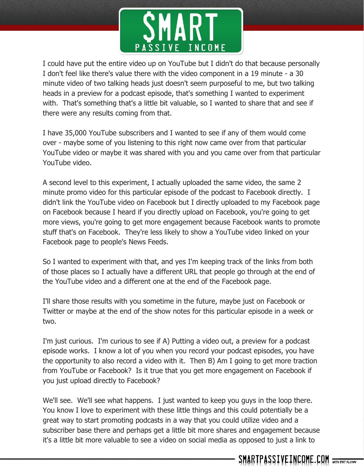

I could have put the entire video up on YouTube but I didn't do that because personally I don't feel like there's value there with the video component in a 19 minute - a 30 minute video of two talking heads just doesn't seem purposeful to me, but two talking heads in a preview for a podcast episode, that's something I wanted to experiment with. That's something that's a little bit valuable, so I wanted to share that and see if there were any results coming from that.

I have 35,000 YouTube subscribers and I wanted to see if any of them would come over - maybe some of you listening to this right now came over from that particular YouTube video or maybe it was shared with you and you came over from that particular YouTube video.

A second level to this experiment, I actually uploaded the same video, the same 2 minute promo video for this particular episode of the podcast to Facebook directly. I didn't link the YouTube video on Facebook but I directly uploaded to my Facebook page on Facebook because I heard if you directly upload on Facebook, you're going to get more views, you're going to get more engagement because Facebook wants to promote stuff that's on Facebook. They're less likely to show a YouTube video linked on your Facebook page to people's News Feeds.

So I wanted to experiment with that, and yes I'm keeping track of the links from both of those places so I actually have a different URL that people go through at the end of the YouTube video and a different one at the end of the Facebook page.

I'll share those results with you sometime in the future, maybe just on Facebook or Twitter or maybe at the end of the show notes for this particular episode in a week or two.

I'm just curious. I'm curious to see if A) Putting a video out, a preview for a podcast episode works. I know a lot of you when you record your podcast episodes, you have the opportunity to also record a video with it. Then B) Am I going to get more traction from YouTube or Facebook? Is it true that you get more engagement on Facebook if you just upload directly to Facebook?

We'll see. We'll see what happens. I just wanted to keep you guys in the loop there. You know I love to experiment with these little things and this could potentially be a great way to start promoting podcasts in a way that you could utilize video and a subscriber base there and perhaps get a little bit more shares and engagement because it's a little bit more valuable to see a video on social media as opposed to just a link to